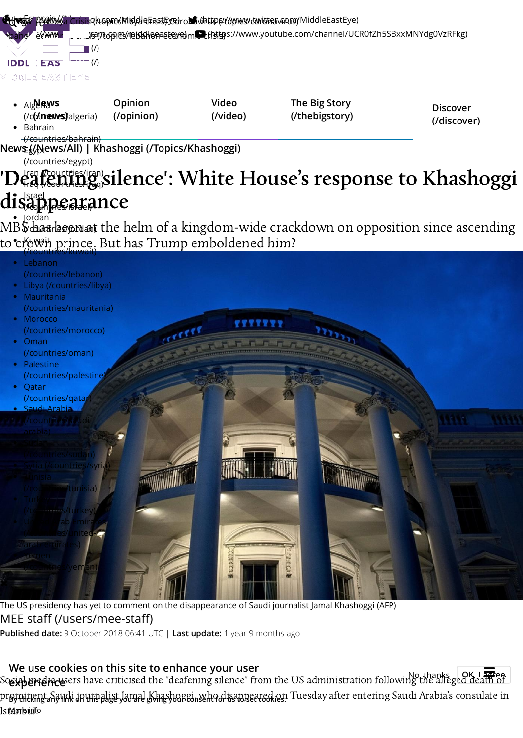

The US presidency has yet to comment on the disappearance of Saudi journalist Jamal Khashoggi (AFP) [MEE staff \(/users/mee-staff\)](https://www.middleeasteye.net/users/mee-staff) **Published date:** 9 October 2018 06:41 UTC | **Last update:** 1 year 9 months ago

We use cookies on this site to enhance your user<br>Sosial media users have criticised the "deafening silence" from the US administration following the alleged death of pr**eminent Saudi journalist Jamal Khashoggi, who disappeared on** Tuesday after entering Saudi Arabia's consulate in Ist<u>Morbin'fo</u> **experience** No, thanks **OK, I agree**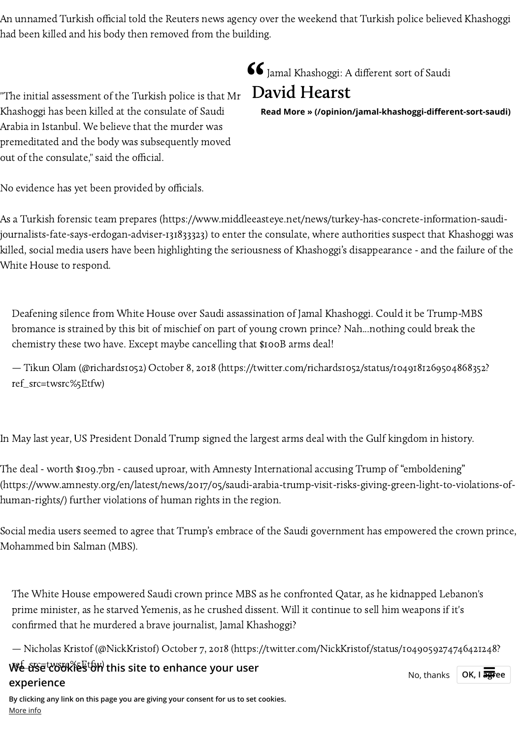An unnamed Turkish official told the Reuters news agency over the weekend that Turkish police believed Khashoggi had been killed and his body then removed from the building.

"The initial assessment of the Turkish police is that Mr Khashoggi has been killed at the consulate of Saudi Arabia in Istanbul. We believe that the murder was premeditated and the body was subsequently moved out of the consulate," said the official.

No evidence has yet been provided by officials.

As a Turkish forensic team prepares [\(https://www.middleeasteye.net/news/turkey-has-concrete-information-saudi](https://www.middleeasteye.net/news/turkey-has-concrete-information-saudi-journalists-fate-says-erdogan-adviser-131833323)journalists-fate-says-erdogan-adviser-131833323) to enter the consulate, where authorities suspect that Khashoggi was killed, social media users have been highlighting the seriousness of Khashoggi's disappearance - and the failure of the White House to respond.

Deafening silence from White House over Saudi assassination of Jamal Khashoggi. Could it be Trump-MBS bromance is strained by this bit of mischief on part of young crown prince? Nah...nothing could break the chemistry these two have. Except maybe cancelling that \$100B arms deal!

— Tikun Olam (@richards1052) October 8, 2018 [\(https://twitter.com/richards1052/status/1049181269504868352?](https://twitter.com/richards1052/status/1049181269504868352?ref_src=twsrc%5Etfw) ref\_src=twsrc%5Etfw)

In May last year, US President Donald Trump signed the largest arms deal with the Gulf kingdom in history.

The deal - worth \$109.7bn - caused uproar, with Amnesty International accusing Trump of "emboldening" [\(https://www.amnesty.org/en/latest/news/2017/05/saudi-arabia-trump-visit-risks-giving-green-light-to-violations-of](https://www.amnesty.org/en/latest/news/2017/05/saudi-arabia-trump-visit-risks-giving-green-light-to-violations-of-human-rights/)human-rights/) further violations of human rights in the region.

Social media users seemed to agree that Trump's embrace of the Saudi government has empowered the crown prince, Mohammed bin Salman (MBS).

The White House empowered Saudi crown prince MBS as he confronted Qatar, as he kidnapped Lebanon's prime minister, as he starved Yemenis, as he crushed dissent. Will it continue to sell him weapons if it's confirmed that he murdered a brave journalist, Jamal Khashoggi?

— Nicholas Kristof (@NickKristo) October 7, 2018 [\(https://twitter.com/NickKristof/status/1049059274746421248?](https://twitter.com/NickKristof/status/1049059274746421248?ref_src=twsrc%5Etfw)

ref\_src=twsrc%5Etfw) **We use cookies on this site to enhance your user experience**

**By clicking any link on this page you are giving your consent for us to set cookies.** More info

Jamal Khashoggi: A different sort of Saudi



**[Read More » \(/opinion/jamal-khashoggi-different-sort-saudi\)](https://www.middleeasteye.net/opinion/jamal-khashoggi-different-sort-saudi)**

**No, thanks**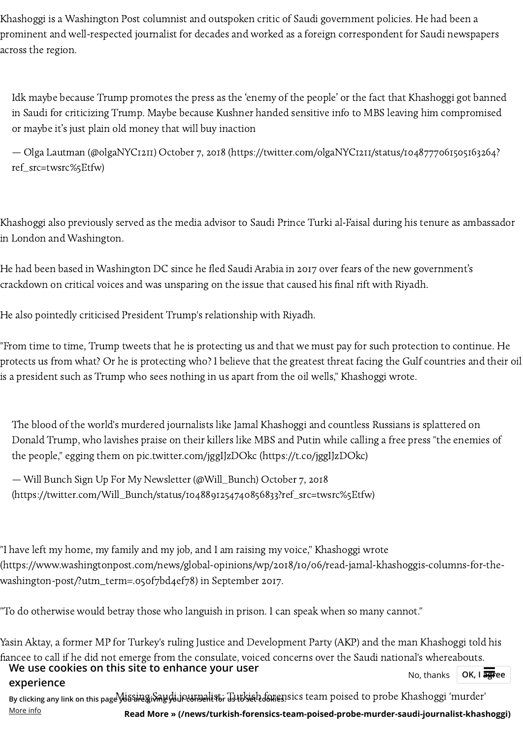Khashoggi is a Washington Post columnist and outspoken critic of Saudi government policies. He had been a prominent and well-respected journalist for decades and worked as a foreign correspondent for Saudi newspapers across the region.

Idk maybe because Trump promotes the press as the 'enemy of the people' or the fact that Khashoggi got banned in Saudi for criticizing Trump. Maybe because Kushner handed sensitive info to MBS leaving him compromised or maybe it's just plain old money that will buy inaction

— Olga Lautman (@olgaNYC1211) October 7, 2018 [\(https://twitter.com/olgaNYC1211/status/1048777061505163264?](https://twitter.com/olgaNYC1211/status/1048777061505163264?ref_src=twsrc%5Etfw) ref\_src=twsrc%5Etfw)

Khashoggi also previously served as the media advisor to Saudi Prince Turki al-Faisal during his tenure as ambassador in London and Washington.

He had been based in Washington DC since he fled Saudi Arabia in 2017 over fears of the new government's crackdown on critical voices and was unsparing on the issue that caused his final rift with Riyadh.

He also pointedly criticised President Trump's relationship with Riyadh.

"From time to time, Trump tweets that he is protecting us and that we must pay for such protection to continue. He protects us from what? Or he is protecting who? I believe that the greatest threat facing the Gulf countries and their oil is a president such as Trump who sees nothing in us apart from the oil wells," Khashoggi wrote.

The blood of the world's murdered journalists like Jamal Khashoggi and countless Russians is splattered on Donald Trump, who lavishes praise on their killers like MBS and Putin while calling a free press "the enemies of the people," egging them on [pic.twitter.com/jggIJzDOkc](https://t.co/jggIJzDOkc) (https://t.co/jggIJzDOkc)

— Will Bunch Sign Up For My Newsletter (@Will\_Bunch) October 7, 2018 [\(https://twitter.com/Will\\_Bunch/status/1048891254740856833?ref\\_src=twsrc%5Etfw\)](https://twitter.com/Will_Bunch/status/1048891254740856833?ref_src=twsrc%5Etfw)

"I have left my home, my family and my job, and I am raising my voice," Khashoggi wrote [\(https://www.washingtonpost.com/news/global-opinions/wp/2018/10/06/read-jamal-khashoggis-columns-for-the](https://www.washingtonpost.com/news/global-opinions/wp/2018/10/06/read-jamal-khashoggis-columns-for-the-washington-post/?utm_term=.050f7bd4ef78)washington-post/?utm\_term=.050f7bd4ef78) in September 2017.

"To do otherwise would betray those who languish in prison. I can speak when so many cannot."

More info

Yasin Aktay, a former MP for Turkey's ruling Justice and Development Party (AKP) and the man Khashoggi told his fiancee to call if he did not emerge from the consulate, voiced concerns over the Saudi national's whereabouts.

By clicking any link on this page <del>Wissing Saudi journalist</del>: Tsutkish forensics team poised to probe Khashoggi 'murder' **We use cookies on this site to enhance your user Noting the Section Analysis Cookies on this site to enhance your user experience** OK, I agree

**[Read More » \(/news/turkish-forensics-team-poised-probe-murder-saudi-journalist-khashoggi\)](https://www.middleeasteye.net/news/turkish-forensics-team-poised-probe-murder-saudi-journalist-khashoggi)**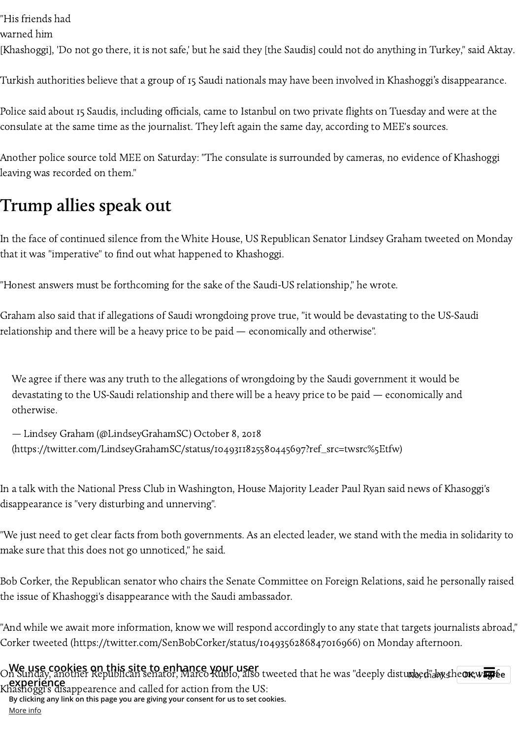"His friends had

warned him

[Khashoggi], 'Do not go there, it is not safe,' but he said they [the Saudis] could not do anything in Turkey," said Aktay.

Turkish authorities believe that a group of 15 Saudi nationals may have been involved in Khashoggi's disappearance.

Police said about 15 Saudis, including officials, came to Istanbul on two private flights on Tuesday and were at the consulate at the same time as the journalist. They left again the same day, according to MEE's sources.

Another police source told MEE on Saturday: "The consulate is surrounded by cameras, no evidence of Khashoggi leaving was recorded on them."

# Trump allies speak out

In the face of continued silence from the White House, US Republican Senator Lindsey Graham tweeted on Monday that it was "imperative" to find out what happened to Khashoggi.

"Honest answers must be forthcoming for the sake of the Saudi-US relationship," he wrote.

Graham also said that if allegations of Saudi wrongdoing prove true, "it would be devastating to the US-Saudi relationship and there will be a heavy price to be paid — economically and otherwise".

We agree if there was any truth to the allegations of wrongdoing by the Saudi government it would be devastating to the US-Saudi relationship and there will be a heavy price to be paid — economically and otherwise.

— Lindsey Graham (@LindseyGrahamSC) October 8, 2018 [\(https://twitter.com/LindseyGrahamSC/status/1049311825580445697?ref\\_src=twsrc%5Etfw\)](https://twitter.com/LindseyGrahamSC/status/1049311825580445697?ref_src=twsrc%5Etfw)

In a talk with the National Press Club in Washington, House Majority Leader Paul Ryan said news of Khasoggi's disappearance is "very disturbing and unnerving".

"We just need to get clear facts from both governments. As an elected leader, we stand with the media in solidarity to make sure that this does not go unnoticed," he said.

Bob Corker, the Republican senator who chairs the Senate Committee on Foreign Relations, said he personally raised the issue of Khashoggi's disappearance with the Saudi ambassador.

"And while we await more information, know we will respond accordingly to any state that targets journalists abroad," Corker tweeted [\(https://twitter.com/SenBobCorker/status/1049356286847016966\)](https://twitter.com/SenBobCorker/status/1049356286847016966) on Monday afternoon.

 $\bigcirc$  **We use cookies on this site to enhance your user**<br>On Sunday, another Republican senator, Marco Kubio, also tweeted that he was "deeply distu**rbed", hystheore, way** be Khashoggi's disappearence and called for action from the US: **experience By clicking any link on this page you are giving your consent for us to set cookies.**

More info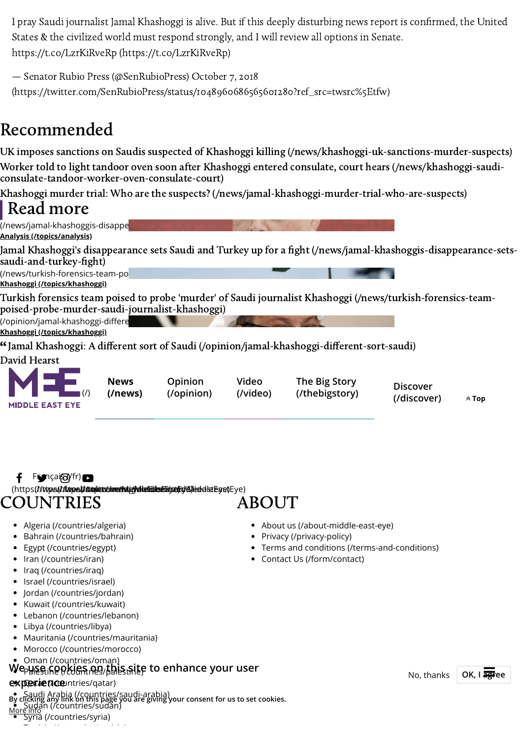I pray Saudi journalist Jamal Khashoggi is alive. But if this deeply disturbing news report is confirmed, the United States & the civilized world must respond strongly, and I will review all options in Senate. https://t.co/LzrKiRveRp [\(https://t.co/LzrKiRveRp\)](https://t.co/LzrKiRveRp)

— Senator Rubio Press (@SenRubioPress) October 7, 2018

[\(https://twitter.com/SenRubioPress/status/1048960686565601280?ref\\_src=twsrc%5Etfw\)](https://twitter.com/SenRubioPress/status/1048960686565601280?ref_src=twsrc%5Etfw)

# Recommended

UK imposes sanctions on Saudis suspected of Khashoggi killing [\(/news/khashoggi-uk-sanctions-murder-suspects\)](https://www.middleeasteye.net/news/khashoggi-uk-sanctions-murder-suspects) Worker told to light tandoor oven soon after Khashoggi entered consulate, court hears (/news/khashoggi-saudi[consulate-tandoor-worker-oven-consulate-court\)](https://www.middleeasteye.net/news/khashoggi-saudi-consulate-tandoor-worker-oven-consulate-court)

Khashoggi murder trial: Who are the suspects? [\(/news/jamal-khashoggi-murder-trial-who-are-suspects\)](https://www.middleeasteye.net/news/jamal-khashoggi-murder-trial-who-are-suspects)



### COUNTRIES ABOUT  $f$  Françai $\circledS$ <sup>(fr.)</sup> (https://**/www.k//ifarpe.k//dwo.jiace/inned/aligy/elielis/leasterigy/el/leaketEge**ye)Eye)

- [Algeria \(/countries/algeria\)](https://www.middleeasteye.net/countries/algeria)
- [Bahrain \(/countries/bahrain\)](https://www.middleeasteye.net/countries/bahrain)
- [Egypt \(/countries/egypt\)](https://www.middleeasteye.net/countries/egypt)
- [Iran \(/countries/iran\)](https://www.middleeasteye.net/countries/iran)
- [Iraq \(/countries/iraq\)](https://www.middleeasteye.net/countries/iraq)
- [Israel \(/countries/israel\)](https://www.middleeasteye.net/countries/israel)
- [Jordan \(/countries/jordan\)](https://www.middleeasteye.net/countries/jordan)
- [Kuwait \(/countries/kuwait\)](https://www.middleeasteye.net/countries/kuwait)
- [Lebanon \(/countries/lebanon\)](https://www.middleeasteye.net/countries/lebanon)
- [Libya \(/countries/libya\)](https://www.middleeasteye.net/countries/libya)
- [Mauritania \(/countries/mauritania\)](https://www.middleeasteye.net/countries/mauritania)
- [Morocco \(/countries/morocco\)](https://www.middleeasteye.net/countries/morocco)

### [Oman \(/countries/oman\)](https://www.middleeasteye.net/countries/oman) We<sub>P</sub>yise in the New Your user and the New Your site on the New Your Moutham of the New Your Time

#### **Qarae (1cou**ntries/qatar) **experience**

[Saudi Arabia \(/countries/saudi-arabia\)](https://www.middleeasteye.net/countries/saudi-arabia) [Sudan \(/countries/sudan\)](https://www.middleeasteye.net/countries/sudan) **By clicking any link on this page you are giving your consent for us to set cookies.**

- [Syria \(/countries/syria\)](https://www.middleeasteye.net/countries/syria) More info
	- T i i [\(/](https://www.middleeasteye.net/countries/tunisia) i / i i )
- [About us \(/about-middle-east-eye\)](https://www.middleeasteye.net/about-middle-east-eye)
- [Privacy \(/privacy-policy\)](https://www.middleeasteye.net/privacy-policy)
- [Terms and conditions \(/terms-and-conditions\)](https://www.middleeasteye.net/terms-and-conditions)
- [Contact Us \(/form/contact\)](https://www.middleeasteye.net/form/contact)

No, thanks **OK, I agree**